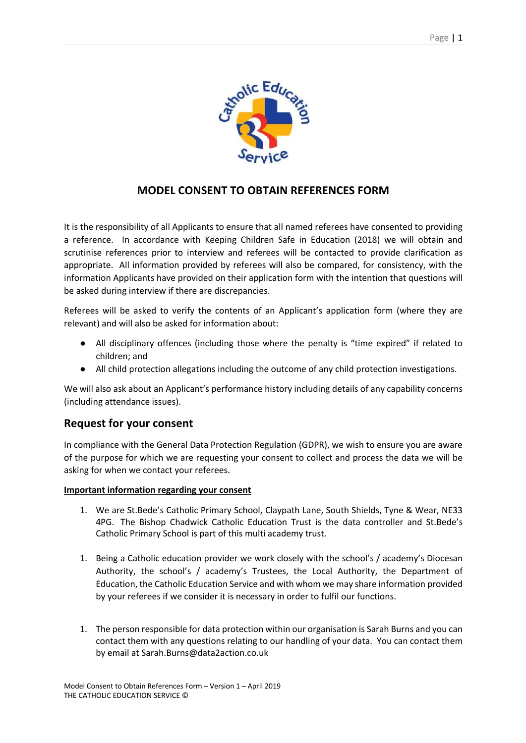

## **MODEL CONSENT TO OBTAIN REFERENCES FORM**

It is the responsibility of all Applicants to ensure that all named referees have consented to providing a reference. In accordance with Keeping Children Safe in Education (2018) we will obtain and scrutinise references prior to interview and referees will be contacted to provide clarification as appropriate. All information provided by referees will also be compared, for consistency, with the information Applicants have provided on their application form with the intention that questions will be asked during interview if there are discrepancies.

Referees will be asked to verify the contents of an Applicant's application form (where they are relevant) and will also be asked for information about:

- All disciplinary offences (including those where the penalty is "time expired" if related to children; and
- All child protection allegations including the outcome of any child protection investigations.

We will also ask about an Applicant's performance history including details of any capability concerns (including attendance issues).

## **Request for your consent**

In compliance with the General Data Protection Regulation (GDPR), we wish to ensure you are aware of the purpose for which we are requesting your consent to collect and process the data we will be asking for when we contact your referees.

## **Important information regarding your consent**

- 1. We are St.Bede's Catholic Primary School, Claypath Lane, South Shields, Tyne & Wear, NE33 4PG. The Bishop Chadwick Catholic Education Trust is the data controller and St.Bede's Catholic Primary School is part of this multi academy trust.
- 1. Being a Catholic education provider we work closely with the school's / academy's Diocesan Authority, the school's / academy's Trustees, the Local Authority, the Department of Education, the Catholic Education Service and with whom we may share information provided by your referees if we consider it is necessary in order to fulfil our functions.
- 1. The person responsible for data protection within our organisation is Sarah Burns and you can contact them with any questions relating to our handling of your data. You can contact them by email at Sarah.Burns@data2action.co.uk